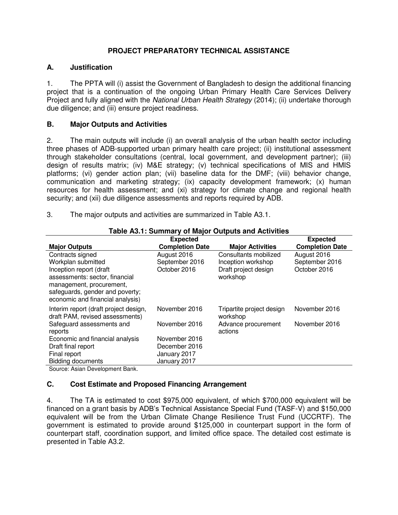## **PROJECT PREPARATORY TECHNICAL ASSISTANCE**

### **A. Justification**

1. The PPTA will (i) assist the Government of Bangladesh to design the additional financing project that is a continuation of the ongoing Urban Primary Health Care Services Delivery Project and fully aligned with the *National Urban Health Strategy* (2014); (ii) undertake thorough due diligence; and (iii) ensure project readiness.

## **B. Major Outputs and Activities**

2. The main outputs will include (i) an overall analysis of the urban health sector including three phases of ADB-supported urban primary health care project; (ii) institutional assessment through stakeholder consultations (central, local government, and development partner); (iii) design of results matrix; (iv) M&E strategy; (v) technical specifications of MIS and HMIS platforms; (vi) gender action plan; (vii) baseline data for the DMF; (viii) behavior change, communication and marketing strategy; (ix) capacity development framework; (x) human resources for health assessment; and (xi) strategy for climate change and regional health security; and (xii) due diligence assessments and reports required by ADB.

3. The major outputs and activities are summarized in Table A3.1.

| <b>Table A3.1: Summary of Major Outputs and Activities</b> |                        |                           |                        |  |  |
|------------------------------------------------------------|------------------------|---------------------------|------------------------|--|--|
|                                                            | <b>Expected</b>        |                           | <b>Expected</b>        |  |  |
| <b>Major Outputs</b>                                       | <b>Completion Date</b> | <b>Major Activities</b>   | <b>Completion Date</b> |  |  |
| Contracts signed                                           | August 2016            | Consultants mobilized     | August 2016            |  |  |
| Workplan submitted                                         | September 2016         | Inception workshop        | September 2016         |  |  |
| Inception report (draft                                    | October 2016           | Draft project design      | October 2016           |  |  |
| assessments: sector, financial                             |                        | workshop                  |                        |  |  |
| management, procurement,                                   |                        |                           |                        |  |  |
| safeguards, gender and poverty;                            |                        |                           |                        |  |  |
| economic and financial analysis)                           |                        |                           |                        |  |  |
| Interim report (draft project design,                      | November 2016          | Tripartite project design | November 2016          |  |  |
| draft PAM, revised assessments)                            |                        | workshop                  |                        |  |  |
| Safeguard assessments and                                  | November 2016          | Advance procurement       | November 2016          |  |  |
| reports                                                    |                        | actions                   |                        |  |  |
| Economic and financial analysis                            | November 2016          |                           |                        |  |  |
| Draft final report                                         | December 2016          |                           |                        |  |  |
| Final report                                               | January 2017           |                           |                        |  |  |
| <b>Bidding documents</b>                                   | January 2017           |                           |                        |  |  |
| Course: Asian Dovelopment Papk                             |                        |                           |                        |  |  |

#### **Table A3.1: Summary of Major Outputs and Activities**

Source: Asian Development Bank.

### **C. Cost Estimate and Proposed Financing Arrangement**

4. The TA is estimated to cost \$975,000 equivalent, of which \$700,000 equivalent will be financed on a grant basis by ADB's Technical Assistance Special Fund (TASF-V) and \$150,000 equivalent will be from the Urban Climate Change Resilience Trust Fund (UCCRTF). The government is estimated to provide around \$125,000 in counterpart support in the form of counterpart staff, coordination support, and limited office space. The detailed cost estimate is presented in Table A3.2.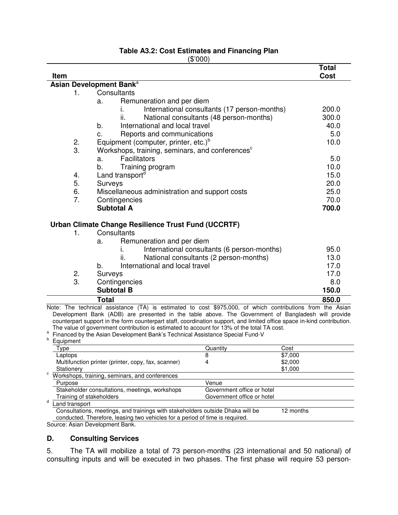#### **Table A3.2: Cost Estimates and Financing Plan**  (\$'000)

| Item           |                                                             | <b>Total</b><br><b>Cost</b> |
|----------------|-------------------------------------------------------------|-----------------------------|
|                | Asian Development Bank <sup>a</sup>                         |                             |
| 1 <sub>1</sub> | Consultants                                                 |                             |
|                |                                                             |                             |
|                | Remuneration and per diem<br>a.                             |                             |
|                | International consultants (17 person-months)                | 200.0                       |
|                | National consultants (48 person-months)<br>ii.              | 300.0                       |
|                | International and local travel<br>b.                        | 40.0                        |
|                | Reports and communications<br>C.                            | 5.0                         |
| 2.             | Equipment (computer, printer, etc.) <sup>b</sup>            | 10.0                        |
| 3.             | Workshops, training, seminars, and conferences <sup>c</sup> |                             |
|                | <b>Facilitators</b><br>a.                                   | 5.0                         |
|                | Training program<br>b.                                      | 10.0                        |
| 4.             | Land transport <sup>d</sup>                                 | 15.0                        |
| 5.             | Surveys                                                     | 20.0                        |
| 6.             | Miscellaneous administration and support costs              | 25.0                        |
| 7.             | Contingencies                                               | 70.0                        |
|                | <b>Subtotal A</b>                                           | 700.0                       |
|                | Urban Climate Change Resilience Trust Fund (UCCRTF)         |                             |
| 1.             | Consultants                                                 |                             |
|                | Remuneration and per diem<br>a.                             |                             |
|                | International consultants (6 person-months)<br>İ.           | 95.0                        |
|                | National consultants (2 person-months)<br>ii.               | 13.0                        |
|                | International and local travel<br>b.                        | 17.0                        |
| 2.             | Surveys                                                     | 17.0                        |
| 3.             | Contingencies                                               | 8.0                         |
|                | <b>Subtotal B</b>                                           | 150.0                       |
|                | <b>Total</b>                                                | 850.0                       |
|                |                                                             |                             |

Note: The technical assistance (TA) is estimated to cost \$975,000, of which contributions from the Asian Development Bank (ADB) are presented in the table above. The Government of Bangladesh will provide counterpart support in the form counterpart staff, coordination support, and limited office space in-kind contribution. The value of government contribution is estimated to account for 13% of the total TA cost.

4 \$2,000

Government office or hotel

\$1,000

a Financed by the Asian Development Bank's Technical Assistance Special Fund-V b

Type **Contains a Community** Cost Cuantity Cost Cost Laptops 8 \$7,000

**Stationery** c Workshops, training, seminars, and conferences Purpose Venue Stakeholder consultations, meetings, workshops Government office or hotel<br>Training of stakeholders Government office or hotel

Multifunction printer (printer, copy, fax, scanner)

d Land transport

Equipment

Consultations, meetings, and trainings with stakeholders outside Dhaka will be conducted. Therefore, leasing two vehicles for a period of time is required. 12 months

Source: Asian Development Bank.

### **D. Consulting Services**

5. The TA will mobilize a total of 73 person-months (23 international and 50 national) of consulting inputs and will be executed in two phases. The first phase will require 53 person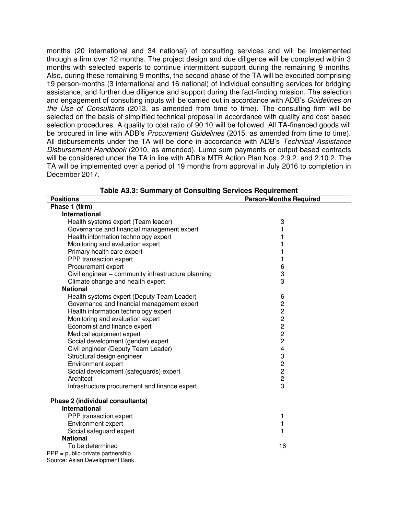months (20 international and 34 national) of consulting services and will be implemented through a firm over 12 months. The project design and due diligence will be completed within 3 months with selected experts to continue intermittent support during the remaining 9 months. Also, during these remaining 9 months, the second phase of the TA will be executed comprising 19 person-months (3 international and 16 national) of individual consulting services for bridging assistance, and further due diligence and support during the fact-finding mission. The selection and engagement of consulting inputs will be carried out in accordance with ADB's *Guidelines on the Use of Consultants* (2013, as amended from time to time). The consulting firm will be selected on the basis of simplified technical proposal in accordance with quality and cost based selection procedures. A quality to cost ratio of 90:10 will be followed. All TA-financed goods will be procured in line with ADB's *Procurement Guidelines* (2015, as amended from time to time). All disbursements under the TA will be done in accordance with ADB's *Technical Assistance Disbursement Handbook* (2010, as amended). Lump sum payments or output-based contracts will be considered under the TA in line with ADB's MTR Action Plan Nos. 2.9.2. and 2.10.2. The TA will be implemented over a period of 19 months from approval in July 2016 to completion in December 2017.

| <b>Positions</b>                                   | <b>Person-Months Required</b> |
|----------------------------------------------------|-------------------------------|
| Phase 1 (firm)                                     |                               |
| <b>International</b>                               |                               |
| Health systems expert (Team leader)                | 3                             |
| Governance and financial management expert         |                               |
| Health information technology expert               |                               |
| Monitoring and evaluation expert                   |                               |
| Primary health care expert                         |                               |
| PPP transaction expert                             |                               |
| Procurement expert                                 | 6                             |
| Civil engineer - community infrastructure planning | 3                             |
| Climate change and health expert                   | 3                             |
| <b>National</b>                                    |                               |
| Health systems expert (Deputy Team Leader)         | 6                             |
| Governance and financial management expert         | 2                             |
| Health information technology expert               | $\overline{c}$                |
| Monitoring and evaluation expert                   | $\overline{c}$                |
| Economist and finance expert                       | $\overline{2}$                |
| Medical equipment expert                           | $\overline{c}$                |
| Social development (gender) expert                 | $\overline{c}$                |
| Civil engineer (Deputy Team Leader)                | 4                             |
| Structural design engineer                         | 3                             |
| Environment expert                                 | $\overline{c}$                |
| Social development (safeguards) expert             | $\overline{c}$                |
| Architect                                          | $\overline{c}$                |
| Infrastructure procurement and finance expert      | 3                             |
| Phase 2 (individual consultants)                   |                               |
| <b>International</b>                               |                               |
| PPP transaction expert                             | 1                             |
| Environment expert                                 | 1                             |
| Social safeguard expert                            |                               |
| <b>National</b>                                    |                               |
| To be determined                                   | 16                            |

**Table A3.3: Summary of Consulting Services Requirement** 

PPP = public-private partnership Source: Asian Development Bank.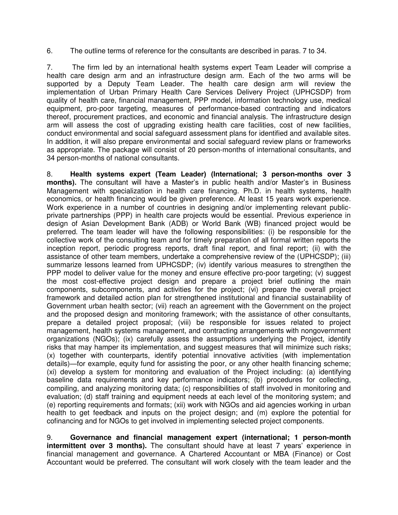6. The outline terms of reference for the consultants are described in paras. 7 to 34.

7. The firm led by an international health systems expert Team Leader will comprise a health care design arm and an infrastructure design arm. Each of the two arms will be supported by a Deputy Team Leader. The health care design arm will review the implementation of Urban Primary Health Care Services Delivery Project (UPHCSDP) from quality of health care, financial management, PPP model, information technology use, medical equipment, pro-poor targeting, measures of performance-based contracting and indicators thereof, procurement practices, and economic and financial analysis. The infrastructure design arm will assess the cost of upgrading existing health care facilities, cost of new facilities, conduct environmental and social safeguard assessment plans for identified and available sites. In addition, it will also prepare environmental and social safeguard review plans or frameworks as appropriate. The package will consist of 20 person-months of international consultants, and 34 person-months of national consultants.

8. **Health systems expert (Team Leader) (International; 3 person-months over 3 months).** The consultant will have a Master's in public health and/or Master's in Business Management with specialization in health care financing. Ph.D. in health systems, health economics, or health financing would be given preference. At least 15 years work experience. Work experience in a number of countries in designing and/or implementing relevant publicprivate partnerships (PPP) in health care projects would be essential. Previous experience in design of Asian Development Bank (ADB) or World Bank (WB) financed project would be preferred. The team leader will have the following responsibilities: (i) be responsible for the collective work of the consulting team and for timely preparation of all formal written reports the inception report, periodic progress reports, draft final report, and final report; (ii) with the assistance of other team members, undertake a comprehensive review of the (UPHCSDP); (iii) summarize lessons learned from UPHCSDP; (iv) identify various measures to strengthen the PPP model to deliver value for the money and ensure effective pro-poor targeting: (v) suggest the most cost-effective project design and prepare a project brief outlining the main components, subcomponents, and activities for the project; (vi) prepare the overall project framework and detailed action plan for strengthened institutional and financial sustainability of Government urban health sector; (vii) reach an agreement with the Government on the project and the proposed design and monitoring framework; with the assistance of other consultants, prepare a detailed project proposal; (viii) be responsible for issues related to project management, health systems management, and contracting arrangements with nongovernment organizations (NGOs); (ix) carefully assess the assumptions underlying the Project, identify risks that may hamper its implementation, and suggest measures that will minimize such risks; (x) together with counterparts, identify potential innovative activities (with implementation details)—for example, equity fund for assisting the poor, or any other health financing scheme; (xi) develop a system for monitoring and evaluation of the Project including: (a) identifying baseline data requirements and key performance indicators; (b) procedures for collecting, compiling, and analyzing monitoring data; (c) responsibilities of staff involved in monitoring and evaluation; (d) staff training and equipment needs at each level of the monitoring system; and (e) reporting requirements and formats; (xii) work with NGOs and aid agencies working in urban health to get feedback and inputs on the project design; and (m) explore the potential for cofinancing and for NGOs to get involved in implementing selected project components.

9. **Governance and financial management expert (international; 1 person-month intermittent over 3 months).** The consultant should have at least 7 years' experience in financial management and governance. A Chartered Accountant or MBA (Finance) or Cost Accountant would be preferred. The consultant will work closely with the team leader and the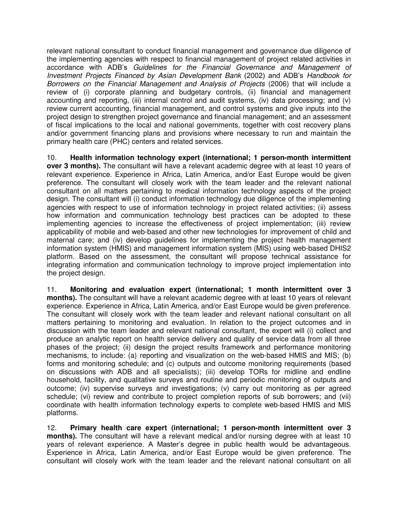relevant national consultant to conduct financial management and governance due diligence of the implementing agencies with respect to financial management of project related activities in accordance with ADB's *Guidelines for the Financial Governance and Management of Investment Projects Financed by Asian Development Bank* (2002) and ADB's *Handbook for Borrowers on the Financial Management and Analysis of Projects* (2006) that will include a review of (i) corporate planning and budgetary controls, (ii) financial and management accounting and reporting, (iii) internal control and audit systems, (iv) data processing; and (v) review current accounting, financial management, and control systems and give inputs into the project design to strengthen project governance and financial management; and an assessment of fiscal implications to the local and national governments, together with cost recovery plans and/or government financing plans and provisions where necessary to run and maintain the primary health care (PHC) centers and related services.

10. **Health information technology expert (international; 1 person-month intermittent over 3 months).** The consultant will have a relevant academic degree with at least 10 years of relevant experience. Experience in Africa, Latin America, and/or East Europe would be given preference. The consultant will closely work with the team leader and the relevant national consultant on all matters pertaining to medical information technology aspects of the project design. The consultant will (i) conduct information technology due diligence of the implementing agencies with respect to use of information technology in project related activities; (ii) assess how information and communication technology best practices can be adopted to these implementing agencies to increase the effectiveness of project implementation; (iii) review applicability of mobile and web-based and other new technologies for improvement of child and maternal care; and (iv) develop guidelines for implementing the project health management information system (HMIS) and management information system (MIS) using web-based DHIS2 platform. Based on the assessment, the consultant will propose technical assistance for integrating information and communication technology to improve project implementation into the project design.

11. **Monitoring and evaluation expert (international; 1 month intermittent over 3 months).** The consultant will have a relevant academic degree with at least 10 years of relevant experience. Experience in Africa, Latin America, and/or East Europe would be given preference. The consultant will closely work with the team leader and relevant national consultant on all matters pertaining to monitoring and evaluation. In relation to the project outcomes and in discussion with the team leader and relevant national consultant, the expert will (i) collect and produce an analytic report on health service delivery and quality of service data from all three phases of the project; (ii) design the project results framework and performance monitoring mechanisms, to include: (a) reporting and visualization on the web-based HMIS and MIS; (b) forms and monitoring schedule; and (c) outputs and outcome monitoring requirements (based on discussions with ADB and all specialists); (iii) develop TORs for midline and endline household, facility, and qualitative surveys and routine and periodic monitoring of outputs and outcome; (iv) supervise surveys and investigations; (v) carry out monitoring as per agreed schedule; (vi) review and contribute to project completion reports of sub borrowers; and (vii) coordinate with health information technology experts to complete web-based HMIS and MIS platforms.

12. **Primary health care expert (international; 1 person-month intermittent over 3 months).** The consultant will have a relevant medical and/or nursing degree with at least 10 years of relevant experience. A Master's degree in public health would be advantageous. Experience in Africa, Latin America, and/or East Europe would be given preference. The consultant will closely work with the team leader and the relevant national consultant on all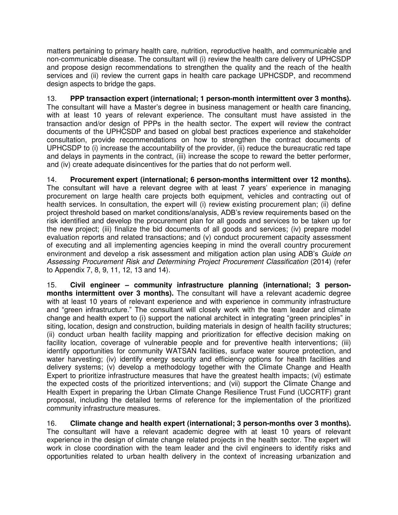matters pertaining to primary health care, nutrition, reproductive health, and communicable and non-communicable disease. The consultant will (i) review the health care delivery of UPHCSDP and propose design recommendations to strengthen the quality and the reach of the health services and (ii) review the current gaps in health care package UPHCSDP, and recommend design aspects to bridge the gaps.

13. **PPP transaction expert (international; 1 person-month intermittent over 3 months).**  The consultant will have a Master's degree in business management or health care financing, with at least 10 years of relevant experience. The consultant must have assisted in the transaction and/or design of PPPs in the health sector. The expert will review the contract documents of the UPHCSDP and based on global best practices experience and stakeholder consultation, provide recommendations on how to strengthen the contract documents of UPHCSDP to (i) increase the accountability of the provider, (ii) reduce the bureaucratic red tape and delays in payments in the contract, (iii) increase the scope to reward the better performer, and (iv) create adequate disincentives for the parties that do not perform well.

14. **Procurement expert (international; 6 person-months intermittent over 12 months).** The consultant will have a relevant degree with at least 7 years' experience in managing procurement on large health care projects both equipment, vehicles and contracting out of health services. In consultation, the expert will (i) review existing procurement plan; (ii) define project threshold based on market conditions/analysis, ADB's review requirements based on the risk identified and develop the procurement plan for all goods and services to be taken up for the new project; (iii) finalize the bid documents of all goods and services; (iv) prepare model evaluation reports and related transactions; and (v) conduct procurement capacity assessment of executing and all implementing agencies keeping in mind the overall country procurement environment and develop a risk assessment and mitigation action plan using ADB's *Guide on Assessing Procurement Risk and Determining Project Procurement Classification* (2014) (refer to Appendix 7, 8, 9, 11, 12, 13 and 14).

15. **Civil engineer – community infrastructure planning (international; 3 personmonths intermittent over 3 months).** The consultant will have a relevant academic degree with at least 10 years of relevant experience and with experience in community infrastructure and "green infrastructure." The consultant will closely work with the team leader and climate change and health expert to (i) support the national architect in integrating "green principles" in siting, location, design and construction, building materials in design of health facility structures; (ii) conduct urban health facility mapping and prioritization for effective decision making on facility location, coverage of vulnerable people and for preventive health interventions; (iii) identify opportunities for community WATSAN facilities, surface water source protection, and water harvesting; (iv) identify energy security and efficiency options for health facilities and delivery systems; (v) develop a methodology together with the Climate Change and Health Expert to prioritize infrastructure measures that have the greatest health impacts; (vi) estimate the expected costs of the prioritized interventions; and (vii) support the Climate Change and Health Expert in preparing the Urban Climate Change Resilience Trust Fund (UCCRTF) grant proposal, including the detailed terms of reference for the implementation of the prioritized community infrastructure measures.

16. **Climate change and health expert (international; 3 person-months over 3 months).** The consultant will have a relevant academic degree with at least 10 years of relevant experience in the design of climate change related projects in the health sector. The expert will work in close coordination with the team leader and the civil engineers to identify risks and opportunities related to urban health delivery in the context of increasing urbanization and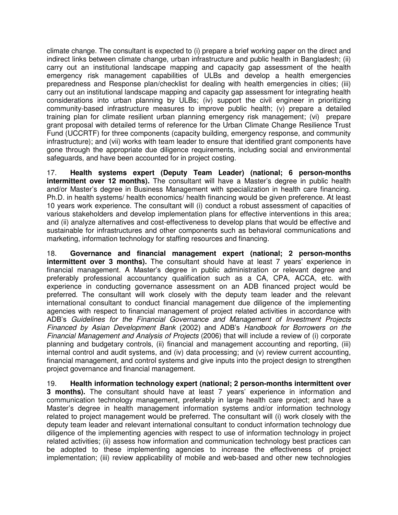climate change. The consultant is expected to (i) prepare a brief working paper on the direct and indirect links between climate change, urban infrastructure and public health in Bangladesh; (ii) carry out an institutional landscape mapping and capacity gap assessment of the health emergency risk management capabilities of ULBs and develop a health emergencies preparedness and Response plan/checklist for dealing with health emergencies in cities; (iii) carry out an institutional landscape mapping and capacity gap assessment for integrating health considerations into urban planning by ULBs; (iv) support the civil engineer in prioritizing community-based infrastructure measures to improve public health; (v) prepare a detailed training plan for climate resilient urban planning emergency risk management; (vi) prepare grant proposal with detailed terms of reference for the Urban Climate Change Resilience Trust Fund (UCCRTF) for three components (capacity building, emergency response, and community infrastructure); and (vii) works with team leader to ensure that identified grant components have gone through the appropriate due diligence requirements, including social and environmental safeguards, and have been accounted for in project costing.

17. **Health systems expert (Deputy Team Leader) (national; 6 person-months intermittent over 12 months).** The consultant will have a Master's degree in public health and/or Master's degree in Business Management with specialization in health care financing. Ph.D. in health systems/ health economics/ health financing would be given preference. At least 10 years work experience. The consultant will (i) conduct a robust assessment of capacities of various stakeholders and develop implementation plans for effective interventions in this area; and (ii) analyze alternatives and cost-effectiveness to develop plans that would be effective and sustainable for infrastructures and other components such as behavioral communications and marketing, information technology for staffing resources and financing.

18. **Governance and financial management expert (national; 2 person-months intermittent over 3 months).** The consultant should have at least 7 years' experience in financial management. A Master's degree in public administration or relevant degree and preferably professional accountancy qualification such as a CA, CPA, ACCA, etc. with experience in conducting governance assessment on an ADB financed project would be preferred. The consultant will work closely with the deputy team leader and the relevant international consultant to conduct financial management due diligence of the implementing agencies with respect to financial management of project related activities in accordance with ADB's *Guidelines for the Financial Governance and Management of Investment Projects Financed by Asian Development Bank* (2002) and ADB's *Handbook for Borrowers on the Financial Management and Analysis of Projects* (2006) that will include a review of (i) corporate planning and budgetary controls, (ii) financial and management accounting and reporting, (iii) internal control and audit systems, and (iv) data processing; and (v) review current accounting, financial management, and control systems and give inputs into the project design to strengthen project governance and financial management.

19. **Health information technology expert (national; 2 person-months intermittent over 3 months).** The consultant should have at least 7 years' experience in information and communication technology management, preferably in large health care project; and have a Master's degree in health management information systems and/or information technology related to project management would be preferred. The consultant will (i) work closely with the deputy team leader and relevant international consultant to conduct information technology due diligence of the implementing agencies with respect to use of information technology in project related activities; (ii) assess how information and communication technology best practices can be adopted to these implementing agencies to increase the effectiveness of project implementation; (iii) review applicability of mobile and web-based and other new technologies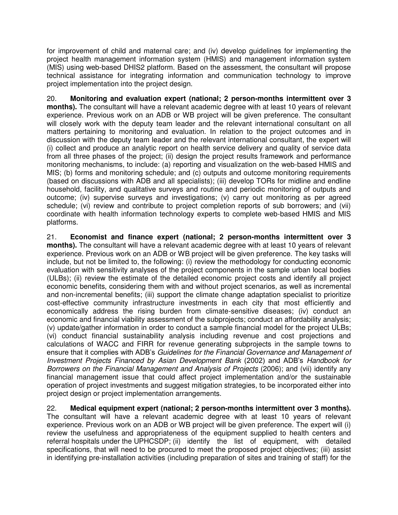for improvement of child and maternal care; and (iv) develop guidelines for implementing the project health management information system (HMIS) and management information system (MIS) using web-based DHIS2 platform. Based on the assessment, the consultant will propose technical assistance for integrating information and communication technology to improve project implementation into the project design.

20. **Monitoring and evaluation expert (national; 2 person-months intermittent over 3 months).** The consultant will have a relevant academic degree with at least 10 years of relevant experience. Previous work on an ADB or WB project will be given preference. The consultant will closely work with the deputy team leader and the relevant international consultant on all matters pertaining to monitoring and evaluation. In relation to the project outcomes and in discussion with the deputy team leader and the relevant international consultant, the expert will (i) collect and produce an analytic report on health service delivery and quality of service data from all three phases of the project; (ii) design the project results framework and performance monitoring mechanisms, to include: (a) reporting and visualization on the web-based HMIS and MIS; (b) forms and monitoring schedule; and (c) outputs and outcome monitoring requirements (based on discussions with ADB and all specialists); (iii) develop TORs for midline and endline household, facility, and qualitative surveys and routine and periodic monitoring of outputs and outcome; (iv) supervise surveys and investigations; (v) carry out monitoring as per agreed schedule; (vi) review and contribute to project completion reports of sub borrowers; and (vii) coordinate with health information technology experts to complete web-based HMIS and MIS platforms.

21. **Economist and finance expert (national; 2 person-months intermittent over 3 months).** The consultant will have a relevant academic degree with at least 10 years of relevant experience. Previous work on an ADB or WB project will be given preference. The key tasks will include, but not be limited to, the following: (i) review the methodology for conducting economic evaluation with sensitivity analyses of the project components in the sample urban local bodies (ULBs); (ii) review the estimate of the detailed economic project costs and identify all project economic benefits, considering them with and without project scenarios, as well as incremental and non-incremental benefits; (iii) support the climate change adaptation specialist to prioritize cost-effective community infrastructure investments in each city that most efficiently and economically address the rising burden from climate-sensitive diseases; (iv) conduct an economic and financial viability assessment of the subprojects; conduct an affordability analysis; (v) update/gather information in order to conduct a sample financial model for the project ULBs; (vi) conduct financial sustainability analysis including revenue and cost projections and calculations of WACC and FIRR for revenue generating subprojects in the sample towns to ensure that it complies with ADB's *Guidelines for the Financial Governance and Management of Investment Projects Financed by Asian Development Bank* (2002) and ADB's *Handbook for Borrowers on the Financial Management and Analysis of Projects* (2006); and (vii) identify any financial management issue that could affect project implementation and/or the sustainable operation of project investments and suggest mitigation strategies, to be incorporated either into project design or project implementation arrangements.

22. **Medical equipment expert (national; 2 person-months intermittent over 3 months).**  The consultant will have a relevant academic degree with at least 10 years of relevant experience. Previous work on an ADB or WB project will be given preference. The expert will (i) review the usefulness and appropriateness of the equipment supplied to health centers and referral hospitals under the UPHCSDP; (ii) identify the list of equipment, with detailed specifications, that will need to be procured to meet the proposed project objectives; (iii) assist in identifying pre-installation activities (including preparation of sites and training of staff) for the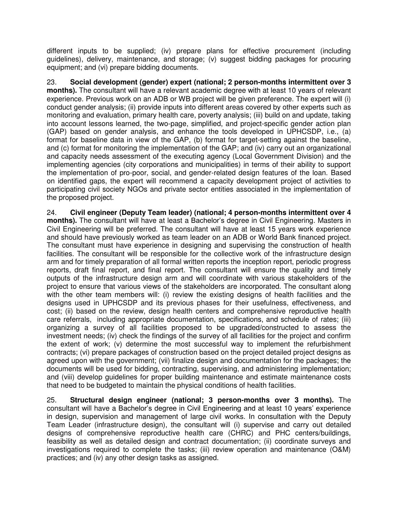different inputs to be supplied; (iv) prepare plans for effective procurement (including guidelines), delivery, maintenance, and storage; (v) suggest bidding packages for procuring equipment; and (vi) prepare bidding documents.

23. **Social development (gender) expert (national; 2 person-months intermittent over 3 months).** The consultant will have a relevant academic degree with at least 10 years of relevant experience. Previous work on an ADB or WB project will be given preference. The expert will (i) conduct gender analysis; (ii) provide inputs into different areas covered by other experts such as monitoring and evaluation, primary health care, poverty analysis; (iii) build on and update, taking into account lessons learned, the two-page, simplified, and project-specific gender action plan (GAP) based on gender analysis, and enhance the tools developed in UPHCSDP, i.e., (a) format for baseline data in view of the GAP, (b) format for target-setting against the baseline, and (c) format for monitoring the implementation of the GAP; and (iv) carry out an organizational and capacity needs assessment of the executing agency (Local Government Division) and the implementing agencies (city corporations and municipalities) in terms of their ability to support the implementation of pro-poor, social, and gender-related design features of the loan. Based on identified gaps, the expert will recommend a capacity development project of activities to participating civil society NGOs and private sector entities associated in the implementation of the proposed project.

24. **Civil engineer (Deputy Team leader) (national; 4 person-months intermittent over 4 months).** The consultant will have at least a Bachelor's degree in Civil Engineering. Masters in Civil Engineering will be preferred. The consultant will have at least 15 years work experience and should have previously worked as team leader on an ADB or World Bank financed project. The consultant must have experience in designing and supervising the construction of health facilities. The consultant will be responsible for the collective work of the infrastructure design arm and for timely preparation of all formal written reports the inception report, periodic progress reports, draft final report, and final report. The consultant will ensure the quality and timely outputs of the infrastructure design arm and will coordinate with various stakeholders of the project to ensure that various views of the stakeholders are incorporated. The consultant along with the other team members will: (i) review the existing designs of health facilities and the designs used in UPHCSDP and its previous phases for their usefulness, effectiveness, and cost; (ii) based on the review, design health centers and comprehensive reproductive health care referrals, including appropriate documentation, specifications, and schedule of rates; (iii) organizing a survey of all facilities proposed to be upgraded/constructed to assess the investment needs; (iv) check the findings of the survey of all facilities for the project and confirm the extent of work; (v) determine the most successful way to implement the refurbishment contracts; (vi) prepare packages of construction based on the project detailed project designs as agreed upon with the government; (vii) finalize design and documentation for the packages; the documents will be used for bidding, contracting, supervising, and administering implementation; and (viii) develop guidelines for proper building maintenance and estimate maintenance costs that need to be budgeted to maintain the physical conditions of health facilities.

25. **Structural design engineer (national; 3 person-months over 3 months).** The consultant will have a Bachelor's degree in Civil Engineering and at least 10 years' experience in design, supervision and management of large civil works. In consultation with the Deputy Team Leader (infrastructure design), the consultant will (i) supervise and carry out detailed designs of comprehensive reproductive health care (CHRC) and PHC centers/buildings, feasibility as well as detailed design and contract documentation; (ii) coordinate surveys and investigations required to complete the tasks; (iii) review operation and maintenance (O&M) practices; and (iv) any other design tasks as assigned.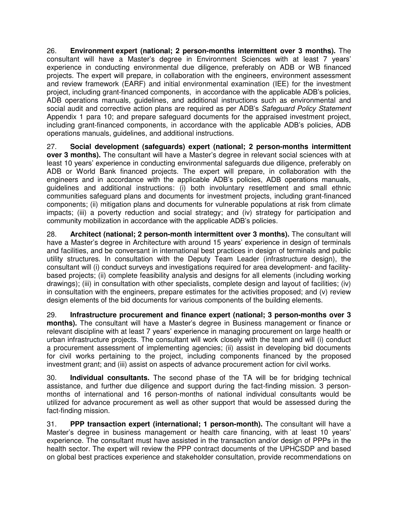26. **Environment expert (national; 2 person-months intermittent over 3 months).** The consultant will have a Master's degree in Environment Sciences with at least 7 years' experience in conducting environmental due diligence, preferably on ADB or WB financed projects. The expert will prepare, in collaboration with the engineers, environment assessment and review framework (EARF) and initial environmental examination (IEE) for the investment project, including grant-financed components, in accordance with the applicable ADB's policies, ADB operations manuals, guidelines, and additional instructions such as environmental and social audit and corrective action plans are required as per ADB's *Safeguard Policy Statement* Appendix 1 para 10; and prepare safeguard documents for the appraised investment project, including grant-financed components, in accordance with the applicable ADB's policies, ADB operations manuals, guidelines, and additional instructions.

27. **Social development (safeguards) expert (national; 2 person-months intermittent over 3 months).** The consultant will have a Master's degree in relevant social sciences with at least 10 years' experience in conducting environmental safeguards due diligence, preferably on ADB or World Bank financed projects. The expert will prepare, in collaboration with the engineers and in accordance with the applicable ADB's policies, ADB operations manuals, guidelines and additional instructions: (i) both involuntary resettlement and small ethnic communities safeguard plans and documents for investment projects, including grant-financed components; (ii) mitigation plans and documents for vulnerable populations at risk from climate impacts; (iii) a poverty reduction and social strategy; and (iv) strategy for participation and community mobilization in accordance with the applicable ADB's policies.

28. **Architect (national; 2 person-month intermittent over 3 months).** The consultant will have a Master's degree in Architecture with around 15 years' experience in design of terminals and facilities, and be conversant in international best practices in design of terminals and public utility structures. In consultation with the Deputy Team Leader (infrastructure design), the consultant will (i) conduct surveys and investigations required for area development- and facilitybased projects; (ii) complete feasibility analysis and designs for all elements (including working drawings); (iii) in consultation with other specialists, complete design and layout of facilities; (iv) in consultation with the engineers, prepare estimates for the activities proposed; and (v) review design elements of the bid documents for various components of the building elements.

29. **Infrastructure procurement and finance expert (national; 3 person-months over 3 months).** The consultant will have a Master's degree in Business management or finance or relevant discipline with at least 7 years' experience in managing procurement on large health or urban infrastructure projects. The consultant will work closely with the team and will (i) conduct a procurement assessment of implementing agencies; (ii) assist in developing bid documents for civil works pertaining to the project, including components financed by the proposed investment grant; and (iii) assist on aspects of advance procurement action for civil works.

30. **Individual consultants.** The second phase of the TA will be for bridging technical assistance, and further due diligence and support during the fact-finding mission. 3 personmonths of international and 16 person-months of national individual consultants would be utilized for advance procurement as well as other support that would be assessed during the fact-finding mission.

31. **PPP transaction expert (international; 1 person-month).** The consultant will have a Master's degree in business management or health care financing, with at least 10 years' experience. The consultant must have assisted in the transaction and/or design of PPPs in the health sector. The expert will review the PPP contract documents of the UPHCSDP and based on global best practices experience and stakeholder consultation, provide recommendations on